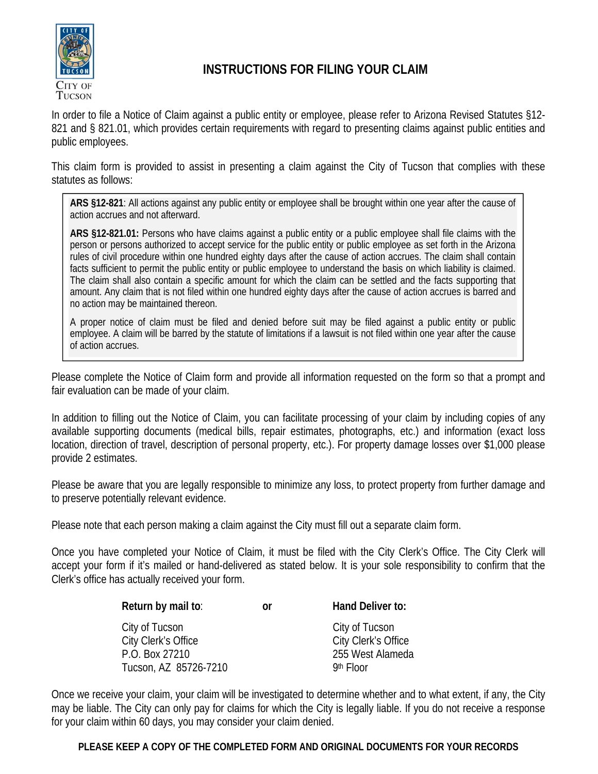

## **INSTRUCTIONS FOR FILING YOUR CLAIM**

In order to file a Notice of Claim against a public entity or employee, please refer to Arizona Revised Statutes §12- 821 and § 821.01, which provides certain requirements with regard to presenting claims against public entities and public employees.

This claim form is provided to assist in presenting a claim against the City of Tucson that complies with these statutes as follows:

**ARS §12-821**: All actions against any public entity or employee shall be brought within one year after the cause of action accrues and not afterward.

**ARS §12-821.01:** Persons who have claims against a public entity or a public employee shall file claims with the person or persons authorized to accept service for the public entity or public employee as set forth in the Arizona rules of civil procedure within one hundred eighty days after the cause of action accrues. The claim shall contain facts sufficient to permit the public entity or public employee to understand the basis on which liability is claimed. The claim shall also contain a specific amount for which the claim can be settled and the facts supporting that amount. Any claim that is not filed within one hundred eighty days after the cause of action accrues is barred and no action may be maintained thereon.

A proper notice of claim must be filed and denied before suit may be filed against a public entity or public employee. A claim will be barred by the statute of limitations if a lawsuit is not filed within one year after the cause of action accrues.

Please complete the Notice of Claim form and provide all information requested on the form so that a prompt and fair evaluation can be made of your claim.

In addition to filling out the Notice of Claim, you can facilitate processing of your claim by including copies of any available supporting documents (medical bills, repair estimates, photographs, etc.) and information (exact loss location, direction of travel, description of personal property, etc.). For property damage losses over \$1,000 please provide 2 estimates.

Please be aware that you are legally responsible to minimize any loss, to protect property from further damage and to preserve potentially relevant evidence.

Please note that each person making a claim against the City must fill out a separate claim form.

Once you have completed your Notice of Claim, it must be filed with the City Clerk's Office. The City Clerk will accept your form if it's mailed or hand-delivered as stated below. It is your sole responsibility to confirm that the Clerk's office has actually received your form.

| Return by mail to:                                                               | Ωr | Hand Deliver to:                                                         |
|----------------------------------------------------------------------------------|----|--------------------------------------------------------------------------|
| City of Tucson<br>City Clerk's Office<br>P.O. Box 27210<br>Tucson, AZ 85726-7210 |    | City of Tucson<br>City Clerk's Office<br>255 West Alameda<br>$9th$ Floor |

Once we receive your claim, your claim will be investigated to determine whether and to what extent, if any, the City may be liable. The City can only pay for claims for which the City is legally liable. If you do not receive a response for your claim within 60 days, you may consider your claim denied.

**PLEASE KEEP A COPY OF THE COMPLETED FORM AND ORIGINAL DOCUMENTS FOR YOUR RECORDS**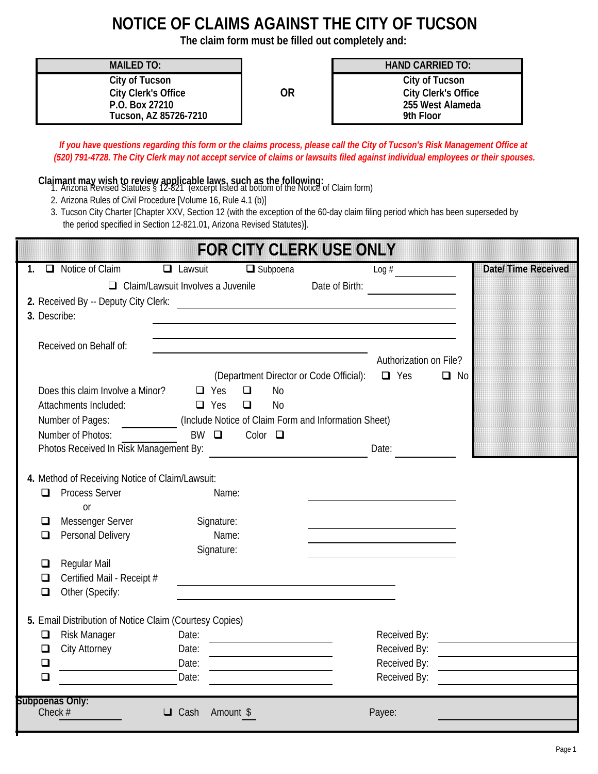## **NOTICE OF CLAIMS AGAINST THE CITY OF TUCSON**

**The claim form must be filled out completely and:**

|                                      | <b>MAILED TO:</b><br>City of Tucson<br>City Clerk's Office<br>P.O. Box 27210<br>Tucson, AZ 85726-7210<br>Claimant may wish to review applicable laws, such as the following:<br>1. Arizona Revised Statutes § 12-821 (excerpt listed at bottom of the Notice of Claim form)<br>2. Arizona Rules of Civil Procedure [Volume 16, Rule 4.1 (b)]<br>the period specified in Section 12-821.01, Arizona Revised Statutes)]. |                                         | <b>OR</b>                                                                                                                                       | <b>HAND CARRIED TO:</b><br>City of Tucson<br>9th Floor<br>If you have questions regarding this form or the claims process, please call the City of Tucson's Risk Management Office at<br>(520) 791-4728. The City Clerk may not accept service of claims or lawsuits filed against individual employees or their spouses.<br>3. Tucson City Charter [Chapter XXV, Section 12 (with the exception of the 60-day claim filing period which has been superseded by | <b>City Clerk's Office</b><br>255 West Alameda |
|--------------------------------------|------------------------------------------------------------------------------------------------------------------------------------------------------------------------------------------------------------------------------------------------------------------------------------------------------------------------------------------------------------------------------------------------------------------------|-----------------------------------------|-------------------------------------------------------------------------------------------------------------------------------------------------|-----------------------------------------------------------------------------------------------------------------------------------------------------------------------------------------------------------------------------------------------------------------------------------------------------------------------------------------------------------------------------------------------------------------------------------------------------------------|------------------------------------------------|
|                                      |                                                                                                                                                                                                                                                                                                                                                                                                                        |                                         | <b>FOR CITY CLERK USE ONLY</b>                                                                                                                  |                                                                                                                                                                                                                                                                                                                                                                                                                                                                 |                                                |
|                                      | 1. $\Box$ Notice of Claim                                                                                                                                                                                                                                                                                                                                                                                              | $\Box$ Lawsuit                          | $\Box$ Subpoena                                                                                                                                 | $\text{Log}\#$                                                                                                                                                                                                                                                                                                                                                                                                                                                  | Date/Time Received                             |
| 3. Describe:                         | 2. Received By -- Deputy City Clerk:                                                                                                                                                                                                                                                                                                                                                                                   |                                         | $\Box$ Claim/Lawsuit Involves a Juvenile Date of Birth:                                                                                         |                                                                                                                                                                                                                                                                                                                                                                                                                                                                 |                                                |
|                                      | Received on Behalf of:                                                                                                                                                                                                                                                                                                                                                                                                 |                                         | <u> 1989 - Johann Stein, marwolaethau a bhann an t-Amhair an t-Amhair an t-Amhair an t-Amhair an t-Amhair an t-A</u>                            |                                                                                                                                                                                                                                                                                                                                                                                                                                                                 |                                                |
|                                      | Does this claim Involve a Minor?<br>Attachments Included:<br>Number of Pages:<br>Number of Photos:<br>Photos Received In Risk Management By: <b>Familie 1998</b>                                                                                                                                                                                                                                                       | $\Box$ Yes<br>$\Box$ Yes<br>$BW$ $\Box$ | (Department Director or Code Official):<br>$\Box$<br>No<br>$\Box$<br>No<br>(Include Notice of Claim Form and Information Sheet)<br>Color $\Box$ | Authorization on File?<br>$\Box$ Yes<br>Date:                                                                                                                                                                                                                                                                                                                                                                                                                   | $\Box$ No                                      |
|                                      | 4. Method of Receiving Notice of Claim/Lawsuit:<br><b>Process Server</b><br><sub>or</sub>                                                                                                                                                                                                                                                                                                                              | Name:                                   |                                                                                                                                                 |                                                                                                                                                                                                                                                                                                                                                                                                                                                                 |                                                |
| ◘<br>ப                               | Messenger Server<br>Personal Delivery                                                                                                                                                                                                                                                                                                                                                                                  | Signature:<br>Name:<br>Signature:       |                                                                                                                                                 |                                                                                                                                                                                                                                                                                                                                                                                                                                                                 |                                                |
| $\Box$<br>◘<br>$\Box$                | Regular Mail<br>Certified Mail - Receipt #<br>Other (Specify:                                                                                                                                                                                                                                                                                                                                                          |                                         |                                                                                                                                                 |                                                                                                                                                                                                                                                                                                                                                                                                                                                                 |                                                |
| $\Box$<br>$\Box$<br>$\Box$<br>$\Box$ | 5. Email Distribution of Notice Claim (Courtesy Copies)<br><b>Risk Manager</b><br>City Attorney                                                                                                                                                                                                                                                                                                                        | Date:<br>Date:<br>Date:<br>Date:        |                                                                                                                                                 | Received By:<br>Received By:<br>Received By:<br>Received By:                                                                                                                                                                                                                                                                                                                                                                                                    |                                                |
| Subpoenas Only:<br>Check #           |                                                                                                                                                                                                                                                                                                                                                                                                                        | Amount \$<br>$\Box$ Cash                |                                                                                                                                                 | Payee:                                                                                                                                                                                                                                                                                                                                                                                                                                                          |                                                |